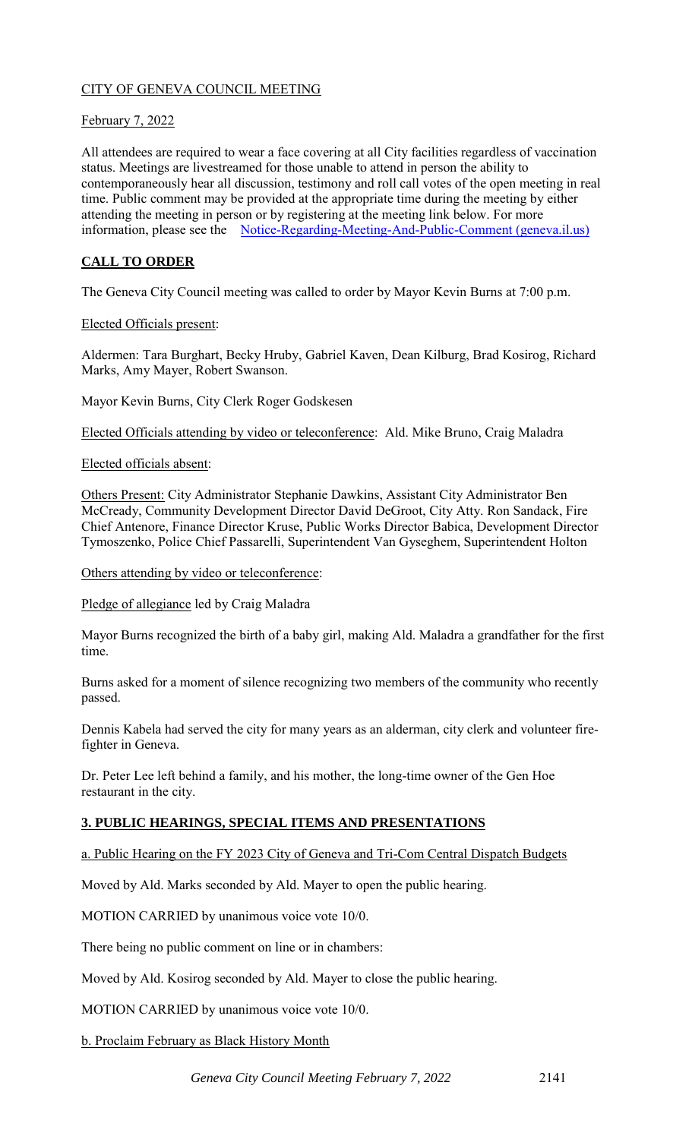# CITY OF GENEVA COUNCIL MEETING

## February 7, 2022

All attendees are required to wear a face covering at all City facilities regardless of vaccination status. Meetings are livestreamed for those unable to attend in person the ability to contemporaneously hear all discussion, testimony and roll call votes of the open meeting in real time. Public comment may be provided at the appropriate time during the meeting by either attending the meeting in person or by registering at the meeting link below. For more information, please see the [Notice-Regarding-Meeting-And-Public-Comment \(geneva.il.us\)](https://www.geneva.il.us/DocumentCenter/View/8694/Notice-Regarding-Meeting-And-Public-Comment)

# **CALL TO ORDER**

The Geneva City Council meeting was called to order by Mayor Kevin Burns at 7:00 p.m.

### Elected Officials present:

Aldermen: Tara Burghart, Becky Hruby, Gabriel Kaven, Dean Kilburg, Brad Kosirog, Richard Marks, Amy Mayer, Robert Swanson.

Mayor Kevin Burns, City Clerk Roger Godskesen

Elected Officials attending by video or teleconference: Ald. Mike Bruno, Craig Maladra

### Elected officials absent:

Others Present: City Administrator Stephanie Dawkins, Assistant City Administrator Ben McCready, Community Development Director David DeGroot, City Atty. Ron Sandack, Fire Chief Antenore, Finance Director Kruse, Public Works Director Babica, Development Director Tymoszenko, Police Chief Passarelli, Superintendent Van Gyseghem, Superintendent Holton

### Others attending by video or teleconference:

Pledge of allegiance led by Craig Maladra

Mayor Burns recognized the birth of a baby girl, making Ald. Maladra a grandfather for the first time.

Burns asked for a moment of silence recognizing two members of the community who recently passed.

Dennis Kabela had served the city for many years as an alderman, city clerk and volunteer firefighter in Geneva.

Dr. Peter Lee left behind a family, and his mother, the long-time owner of the Gen Hoe restaurant in the city.

## **3. PUBLIC HEARINGS, SPECIAL ITEMS AND PRESENTATIONS**

a. Public Hearing on the FY 2023 City of Geneva and Tri-Com Central Dispatch Budgets

Moved by Ald. Marks seconded by Ald. Mayer to open the public hearing.

MOTION CARRIED by unanimous voice vote 10/0.

There being no public comment on line or in chambers:

Moved by Ald. Kosirog seconded by Ald. Mayer to close the public hearing.

MOTION CARRIED by unanimous voice vote 10/0.

b. Proclaim February as Black History Month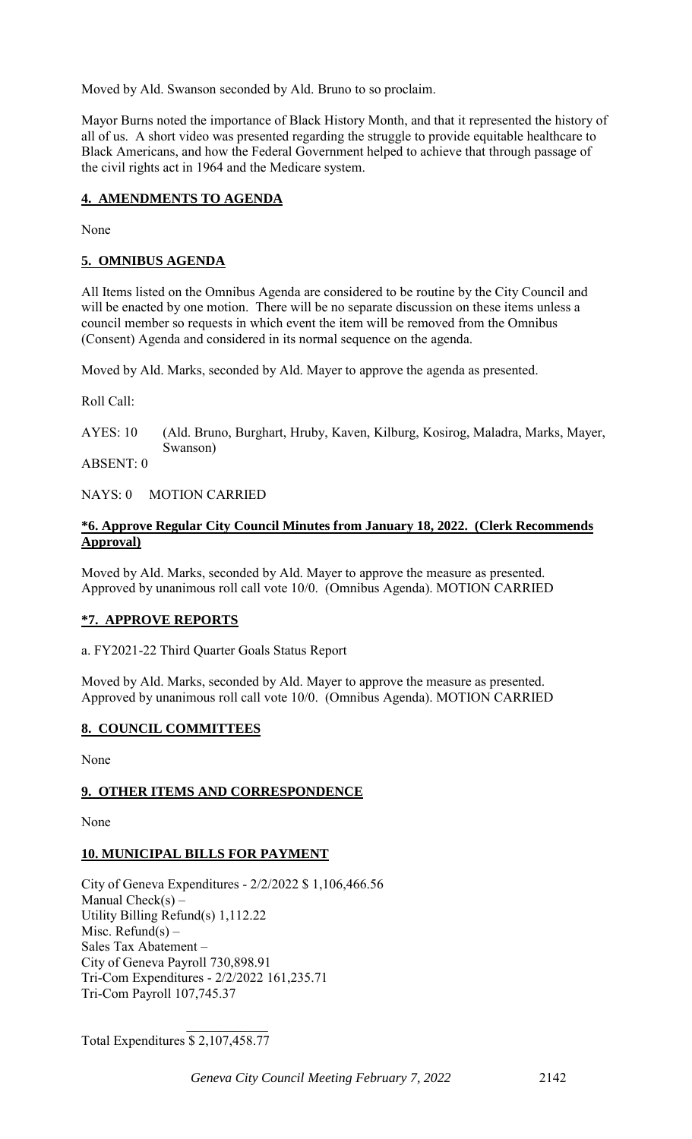Moved by Ald. Swanson seconded by Ald. Bruno to so proclaim.

Mayor Burns noted the importance of Black History Month, and that it represented the history of all of us. A short video was presented regarding the struggle to provide equitable healthcare to Black Americans, and how the Federal Government helped to achieve that through passage of the civil rights act in 1964 and the Medicare system.

### **4. AMENDMENTS TO AGENDA**

None

### **5. OMNIBUS AGENDA**

All Items listed on the Omnibus Agenda are considered to be routine by the City Council and will be enacted by one motion. There will be no separate discussion on these items unless a council member so requests in which event the item will be removed from the Omnibus (Consent) Agenda and considered in its normal sequence on the agenda.

Moved by Ald. Marks, seconded by Ald. Mayer to approve the agenda as presented.

Roll Call:

AYES: 10 (Ald. Bruno, Burghart, Hruby, Kaven, Kilburg, Kosirog, Maladra, Marks, Mayer, Swanson)

ABSENT: 0

NAYS: 0 MOTION CARRIED

### **\*6. Approve Regular City Council Minutes from January 18, 2022. (Clerk Recommends Approval)**

Moved by Ald. Marks, seconded by Ald. Mayer to approve the measure as presented. Approved by unanimous roll call vote 10/0. (Omnibus Agenda). MOTION CARRIED

## **\*7. APPROVE REPORTS**

a. FY2021-22 Third Quarter Goals Status Report

Moved by Ald. Marks, seconded by Ald. Mayer to approve the measure as presented. Approved by unanimous roll call vote 10/0. (Omnibus Agenda). MOTION CARRIED

## **8. COUNCIL COMMITTEES**

None

## **9. OTHER ITEMS AND CORRESPONDENCE**

None

## **10. MUNICIPAL BILLS FOR PAYMENT**

City of Geneva Expenditures - 2/2/2022 \$ 1,106,466.56 Manual Check $(s)$  – Utility Billing Refund(s) 1,112.22 Misc. Refund(s)  $-$ Sales Tax Abatement – City of Geneva Payroll 730,898.91 Tri-Com Expenditures - 2/2/2022 161,235.71 Tri-Com Payroll 107,745.37

Total Expenditures \$ 2,107,458.77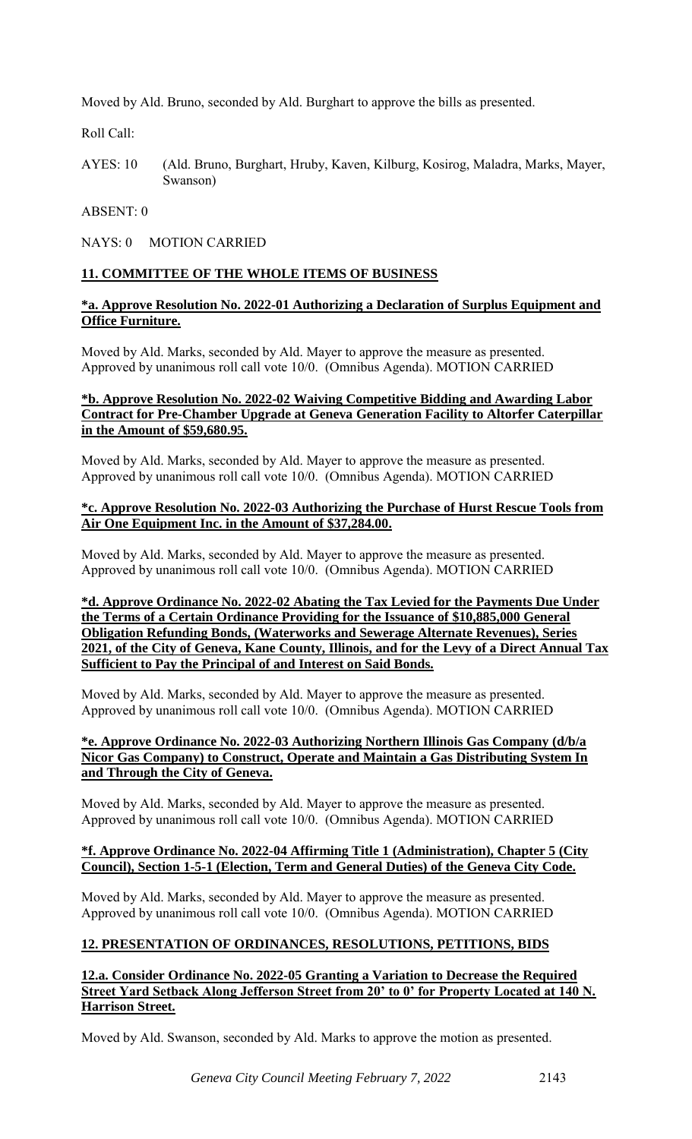Moved by Ald. Bruno, seconded by Ald. Burghart to approve the bills as presented.

Roll Call:

AYES: 10 (Ald. Bruno, Burghart, Hruby, Kaven, Kilburg, Kosirog, Maladra, Marks, Mayer, Swanson)

### ABSENT: 0

NAYS: 0 MOTION CARRIED

## **11. COMMITTEE OF THE WHOLE ITEMS OF BUSINESS**

### **\*a. Approve Resolution No. 2022-01 Authorizing a Declaration of Surplus Equipment and Office Furniture.**

Moved by Ald. Marks, seconded by Ald. Mayer to approve the measure as presented. Approved by unanimous roll call vote 10/0. (Omnibus Agenda). MOTION CARRIED

### **\*b. Approve Resolution No. 2022-02 Waiving Competitive Bidding and Awarding Labor Contract for Pre-Chamber Upgrade at Geneva Generation Facility to Altorfer Caterpillar in the Amount of \$59,680.95.**

Moved by Ald. Marks, seconded by Ald. Mayer to approve the measure as presented. Approved by unanimous roll call vote 10/0. (Omnibus Agenda). MOTION CARRIED

### **\*c. Approve Resolution No. 2022-03 Authorizing the Purchase of Hurst Rescue Tools from Air One Equipment Inc. in the Amount of \$37,284.00.**

Moved by Ald. Marks, seconded by Ald. Mayer to approve the measure as presented. Approved by unanimous roll call vote 10/0. (Omnibus Agenda). MOTION CARRIED

**\*d. Approve Ordinance No. 2022-02 Abating the Tax Levied for the Payments Due Under the Terms of a Certain Ordinance Providing for the Issuance of \$10,885,000 General Obligation Refunding Bonds, (Waterworks and Sewerage Alternate Revenues), Series 2021, of the City of Geneva, Kane County, Illinois, and for the Levy of a Direct Annual Tax Sufficient to Pay the Principal of and Interest on Said Bonds.** 

Moved by Ald. Marks, seconded by Ald. Mayer to approve the measure as presented. Approved by unanimous roll call vote 10/0. (Omnibus Agenda). MOTION CARRIED

### **\*e. Approve Ordinance No. 2022-03 Authorizing Northern Illinois Gas Company (d/b/a Nicor Gas Company) to Construct, Operate and Maintain a Gas Distributing System In and Through the City of Geneva.**

Moved by Ald. Marks, seconded by Ald. Mayer to approve the measure as presented. Approved by unanimous roll call vote 10/0. (Omnibus Agenda). MOTION CARRIED

### **\*f. Approve Ordinance No. 2022-04 Affirming Title 1 (Administration), Chapter 5 (City Council), Section 1-5-1 (Election, Term and General Duties) of the Geneva City Code.**

Moved by Ald. Marks, seconded by Ald. Mayer to approve the measure as presented. Approved by unanimous roll call vote 10/0. (Omnibus Agenda). MOTION CARRIED

## **12. PRESENTATION OF ORDINANCES, RESOLUTIONS, PETITIONS, BIDS**

**12.a. Consider Ordinance No. 2022-05 Granting a Variation to Decrease the Required Street Yard Setback Along Jefferson Street from 20' to 0' for Property Located at 140 N. Harrison Street.**

Moved by Ald. Swanson, seconded by Ald. Marks to approve the motion as presented.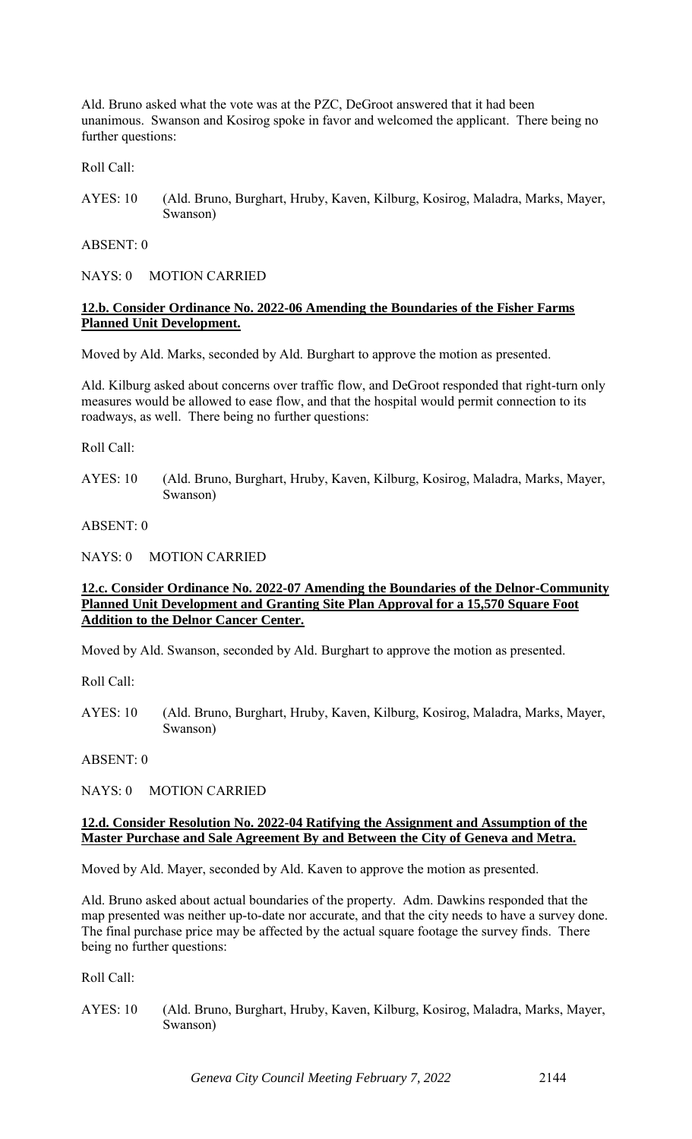Ald. Bruno asked what the vote was at the PZC, DeGroot answered that it had been unanimous. Swanson and Kosirog spoke in favor and welcomed the applicant. There being no further questions:

Roll Call:

AYES: 10 (Ald. Bruno, Burghart, Hruby, Kaven, Kilburg, Kosirog, Maladra, Marks, Mayer, Swanson)

ABSENT: 0

NAYS: 0 MOTION CARRIED

### **12.b. Consider Ordinance No. 2022-06 Amending the Boundaries of the Fisher Farms Planned Unit Development.**

Moved by Ald. Marks, seconded by Ald. Burghart to approve the motion as presented.

Ald. Kilburg asked about concerns over traffic flow, and DeGroot responded that right-turn only measures would be allowed to ease flow, and that the hospital would permit connection to its roadways, as well. There being no further questions:

Roll Call:

AYES: 10 (Ald. Bruno, Burghart, Hruby, Kaven, Kilburg, Kosirog, Maladra, Marks, Mayer, Swanson)

ABSENT: 0

NAYS: 0 MOTION CARRIED

### **12.c. Consider Ordinance No. 2022-07 Amending the Boundaries of the Delnor-Community Planned Unit Development and Granting Site Plan Approval for a 15,570 Square Foot Addition to the Delnor Cancer Center.**

Moved by Ald. Swanson, seconded by Ald. Burghart to approve the motion as presented.

Roll Call:

AYES: 10 (Ald. Bruno, Burghart, Hruby, Kaven, Kilburg, Kosirog, Maladra, Marks, Mayer, Swanson)

ABSENT: 0

NAYS: 0 MOTION CARRIED

#### **12.d. Consider Resolution No. 2022-04 Ratifying the Assignment and Assumption of the Master Purchase and Sale Agreement By and Between the City of Geneva and Metra.**

Moved by Ald. Mayer, seconded by Ald. Kaven to approve the motion as presented.

Ald. Bruno asked about actual boundaries of the property. Adm. Dawkins responded that the map presented was neither up-to-date nor accurate, and that the city needs to have a survey done. The final purchase price may be affected by the actual square footage the survey finds. There being no further questions:

Roll Call:

AYES: 10 (Ald. Bruno, Burghart, Hruby, Kaven, Kilburg, Kosirog, Maladra, Marks, Mayer, Swanson)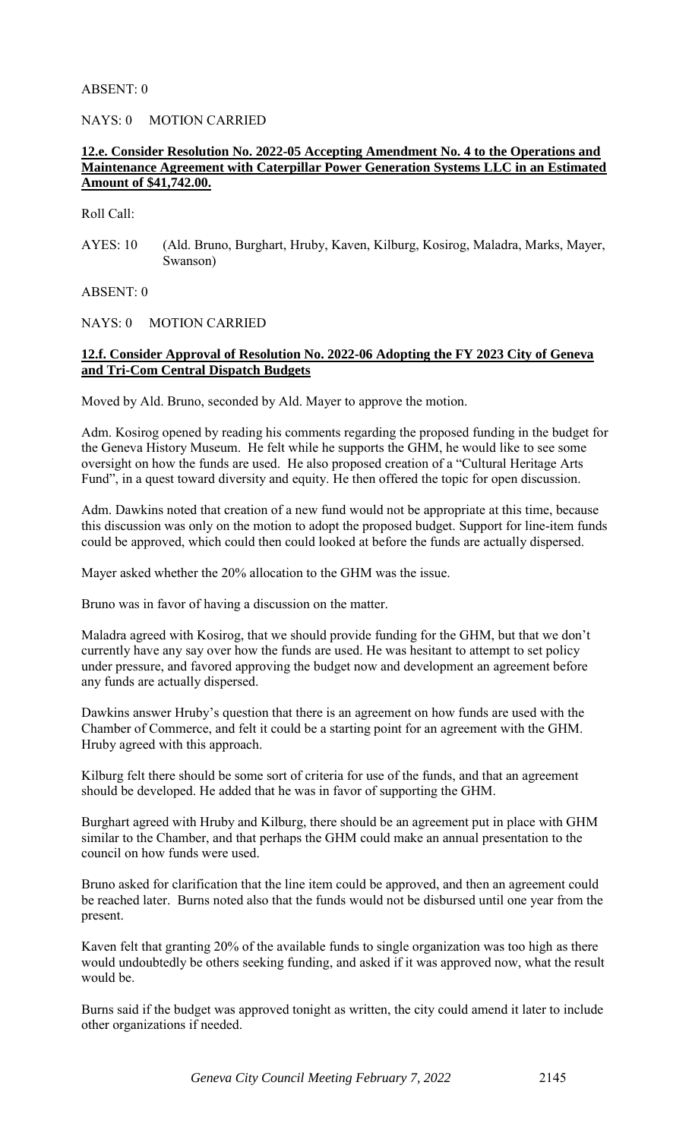### ABSENT: 0

NAYS: 0 MOTION CARRIED

### **12.e. Consider Resolution No. 2022-05 Accepting Amendment No. 4 to the Operations and Maintenance Agreement with Caterpillar Power Generation Systems LLC in an Estimated Amount of \$41,742.00.**

Roll Call:

AYES: 10 (Ald. Bruno, Burghart, Hruby, Kaven, Kilburg, Kosirog, Maladra, Marks, Mayer, Swanson)

ABSENT: 0

NAYS: 0 MOTION CARRIED

### **12.f. Consider Approval of Resolution No. 2022-06 Adopting the FY 2023 City of Geneva and Tri-Com Central Dispatch Budgets**

Moved by Ald. Bruno, seconded by Ald. Mayer to approve the motion.

Adm. Kosirog opened by reading his comments regarding the proposed funding in the budget for the Geneva History Museum. He felt while he supports the GHM, he would like to see some oversight on how the funds are used. He also proposed creation of a "Cultural Heritage Arts Fund", in a quest toward diversity and equity. He then offered the topic for open discussion.

Adm. Dawkins noted that creation of a new fund would not be appropriate at this time, because this discussion was only on the motion to adopt the proposed budget. Support for line-item funds could be approved, which could then could looked at before the funds are actually dispersed.

Mayer asked whether the 20% allocation to the GHM was the issue.

Bruno was in favor of having a discussion on the matter.

Maladra agreed with Kosirog, that we should provide funding for the GHM, but that we don't currently have any say over how the funds are used. He was hesitant to attempt to set policy under pressure, and favored approving the budget now and development an agreement before any funds are actually dispersed.

Dawkins answer Hruby's question that there is an agreement on how funds are used with the Chamber of Commerce, and felt it could be a starting point for an agreement with the GHM. Hruby agreed with this approach.

Kilburg felt there should be some sort of criteria for use of the funds, and that an agreement should be developed. He added that he was in favor of supporting the GHM.

Burghart agreed with Hruby and Kilburg, there should be an agreement put in place with GHM similar to the Chamber, and that perhaps the GHM could make an annual presentation to the council on how funds were used.

Bruno asked for clarification that the line item could be approved, and then an agreement could be reached later. Burns noted also that the funds would not be disbursed until one year from the present.

Kaven felt that granting 20% of the available funds to single organization was too high as there would undoubtedly be others seeking funding, and asked if it was approved now, what the result would be.

Burns said if the budget was approved tonight as written, the city could amend it later to include other organizations if needed.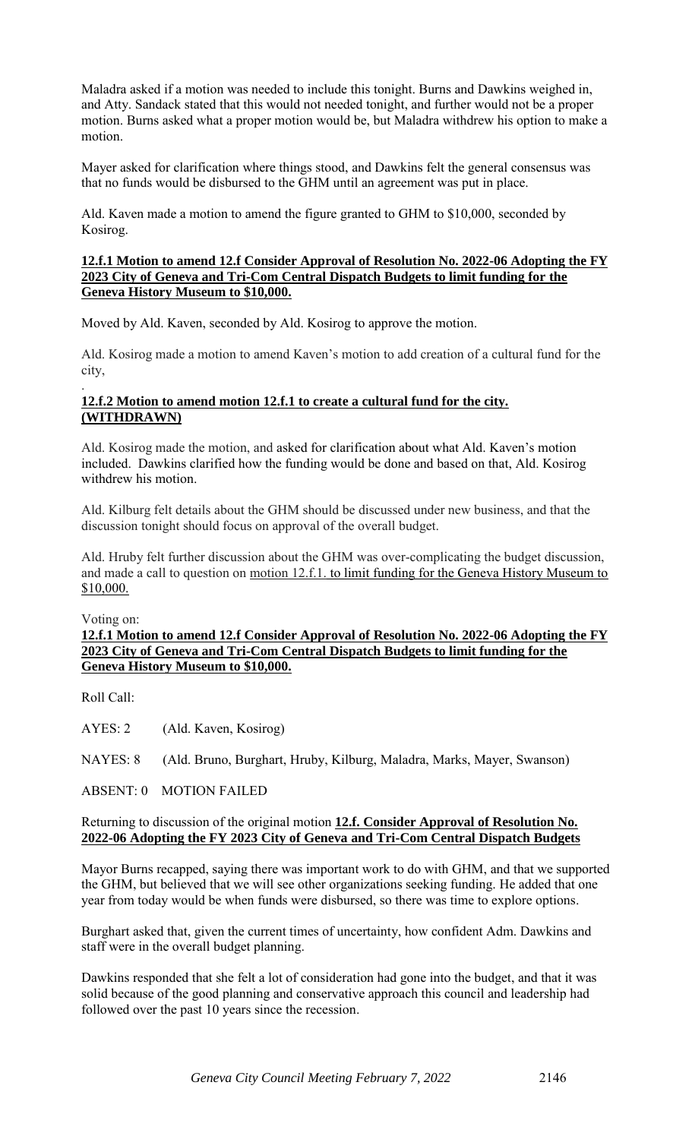Maladra asked if a motion was needed to include this tonight. Burns and Dawkins weighed in, and Atty. Sandack stated that this would not needed tonight, and further would not be a proper motion. Burns asked what a proper motion would be, but Maladra withdrew his option to make a motion.

Mayer asked for clarification where things stood, and Dawkins felt the general consensus was that no funds would be disbursed to the GHM until an agreement was put in place.

Ald. Kaven made a motion to amend the figure granted to GHM to \$10,000, seconded by Kosirog.

### **12.f.1 Motion to amend 12.f Consider Approval of Resolution No. 2022-06 Adopting the FY 2023 City of Geneva and Tri-Com Central Dispatch Budgets to limit funding for the Geneva History Museum to \$10,000.**

Moved by Ald. Kaven, seconded by Ald. Kosirog to approve the motion.

Ald. Kosirog made a motion to amend Kaven's motion to add creation of a cultural fund for the city,

#### . **12.f.2 Motion to amend motion 12.f.1 to create a cultural fund for the city. (WITHDRAWN)**

Ald. Kosirog made the motion, and asked for clarification about what Ald. Kaven's motion included. Dawkins clarified how the funding would be done and based on that, Ald. Kosirog withdrew his motion.

Ald. Kilburg felt details about the GHM should be discussed under new business, and that the discussion tonight should focus on approval of the overall budget.

Ald. Hruby felt further discussion about the GHM was over-complicating the budget discussion, and made a call to question on motion 12.f.1. to limit funding for the Geneva History Museum to \$10,000.

Voting on:

### **12.f.1 Motion to amend 12.f Consider Approval of Resolution No. 2022-06 Adopting the FY 2023 City of Geneva and Tri-Com Central Dispatch Budgets to limit funding for the Geneva History Museum to \$10,000.**

Roll Call:

AYES: 2 (Ald. Kaven, Kosirog)

NAYES: 8 (Ald. Bruno, Burghart, Hruby, Kilburg, Maladra, Marks, Mayer, Swanson)

ABSENT: 0 MOTION FAILED

### Returning to discussion of the original motion **12.f. Consider Approval of Resolution No. 2022-06 Adopting the FY 2023 City of Geneva and Tri-Com Central Dispatch Budgets**

Mayor Burns recapped, saying there was important work to do with GHM, and that we supported the GHM, but believed that we will see other organizations seeking funding. He added that one year from today would be when funds were disbursed, so there was time to explore options.

Burghart asked that, given the current times of uncertainty, how confident Adm. Dawkins and staff were in the overall budget planning.

Dawkins responded that she felt a lot of consideration had gone into the budget, and that it was solid because of the good planning and conservative approach this council and leadership had followed over the past 10 years since the recession.